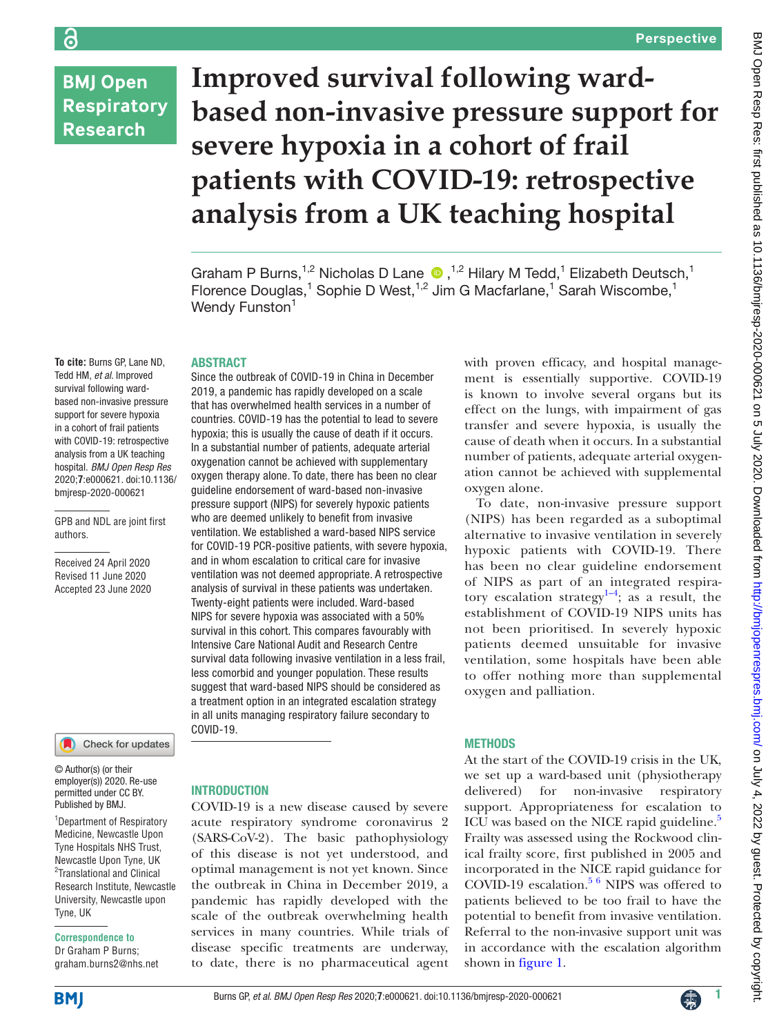**BMJ Open Respiratory Research** 

# **Improved survival following wardbased non-invasive pressure support for severe hypoxia in a cohort of frail patients with COVID-19: retrospective analysis from a UK teaching hospital**

GrahamP Burns,<sup>1,2</sup> Nicholas D Lane  $\bullet$ ,<sup>1,2</sup> Hilary M Tedd,<sup>1</sup> Elizabeth Deutsch,<sup>1</sup> Florence Douglas,<sup>1</sup> Sophie D West,<sup>1,2</sup> Jim G Macfarlane,<sup>1</sup> Sarah Wiscombe,<sup>1</sup> Wendy Funston<sup>1</sup>

### ABSTRACT

**To cite:** Burns GP, Lane ND, Tedd HM, *et al*. Improved survival following wardbased non-invasive pressure support for severe hypoxia in a cohort of frail patients with COVID-19: retrospective analysis from a UK teaching hospital. *BMJ Open Resp Res* 2020;**7**:e000621. doi:10.1136/ bmjresp-2020-000621

GPB and NDL are joint first authors.

Received 24 April 2020 Revised 11 June 2020 Accepted 23 June 2020



© Author(s) (or their employer(s)) 2020. Re-use permitted under CC BY. Published by BMJ.

1 Department of Respiratory Medicine, Newcastle Upon Tyne Hospitals NHS Trust, Newcastle Upon Tyne, UK <sup>2</sup>Translational and Clinical Research Institute, Newcastle University, Newcastle upon Tyne, UK

**Correspondence to** Dr Graham P Burns; graham.burns2@nhs.net

Since the outbreak of COVID-19 in China in December 2019, a pandemic has rapidly developed on a scale that has overwhelmed health services in a number of countries. COVID-19 has the potential to lead to severe hypoxia; this is usually the cause of death if it occurs. In a substantial number of patients, adequate arterial oxygenation cannot be achieved with supplementary oxygen therapy alone. To date, there has been no clear guideline endorsement of ward-based non-invasive pressure support (NIPS) for severely hypoxic patients who are deemed unlikely to benefit from invasive ventilation. We established a ward-based NIPS service for COVID-19 PCR-positive patients, with severe hypoxia, and in whom escalation to critical care for invasive ventilation was not deemed appropriate. A retrospective analysis of survival in these patients was undertaken. Twenty-eight patients were included. Ward-based NIPS for severe hypoxia was associated with a 50% survival in this cohort. This compares favourably with Intensive Care National Audit and Research Centre survival data following invasive ventilation in a less frail, less comorbid and younger population. These results suggest that ward-based NIPS should be considered as a treatment option in an integrated escalation strategy in all units managing respiratory failure secondary to COVID-19.

### **INTRODUCTION**

COVID-19 is a new disease caused by severe acute respiratory syndrome coronavirus 2 (SARS-CoV-2). The basic pathophysiology of this disease is not yet understood, and optimal management is not yet known. Since the outbreak in China in December 2019, a pandemic has rapidly developed with the scale of the outbreak overwhelming health services in many countries. While trials of disease specific treatments are underway, to date, there is no pharmaceutical agent

with proven efficacy, and hospital management is essentially supportive. COVID-19 is known to involve several organs but its effect on the lungs, with impairment of gas transfer and severe hypoxia, is usually the cause of death when it occurs. In a substantial number of patients, adequate arterial oxygenation cannot be achieved with supplemental oxygen alone.

To date, non-invasive pressure support (NIPS) has been regarded as a suboptimal alternative to invasive ventilation in severely hypoxic patients with COVID-19. There has been no clear guideline endorsement of NIPS as part of an integrated respiratory escalation strategy $1-4$ ; as a result, the establishment of COVID-19 NIPS units has not been prioritised. In severely hypoxic patients deemed unsuitable for invasive ventilation, some hospitals have been able to offer nothing more than supplemental oxygen and palliation.

### **METHODS**

At the start of the COVID-19 crisis in the UK, we set up a ward-based unit (physiotherapy delivered) for non-invasive respiratory support. Appropriateness for escalation to ICU was based on the NICE rapid guideline.<sup>[5](#page-4-1)</sup> Frailty was assessed using the Rockwood clinical frailty score, first published in 2005 and incorporated in the NICE rapid guidance for COVID-19 escalation.<sup>5 6</sup> NIPS was offered to patients believed to be too frail to have the potential to benefit from invasive ventilation. Referral to the non-invasive support unit was in accordance with the escalation algorithm shown in [figure](#page-1-0) 1.

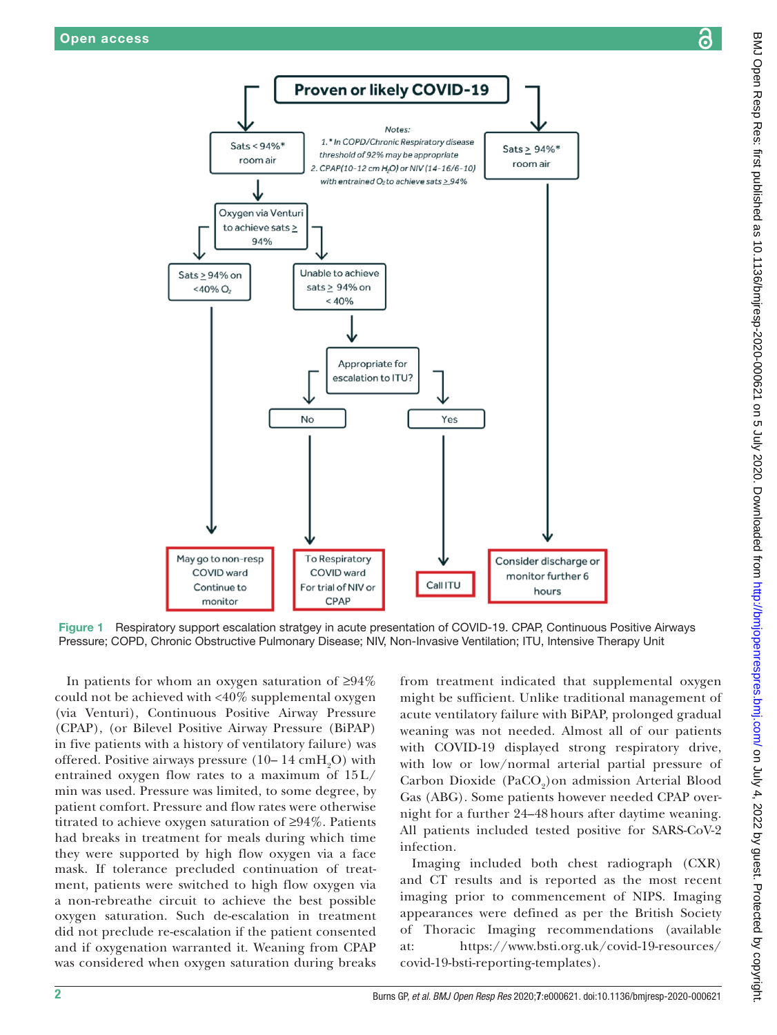

Figure 1 Respiratory support escalation stratgey in acute presentation of COVID-19. CPAP, Continuous Positive Airways Pressure; COPD, Chronic Obstructive Pulmonary Disease; NIV, Non-Invasive Ventilation; ITU, Intensive Therapy Unit

In patients for whom an oxygen saturation of ≥94% could not be achieved with <40% supplemental oxygen (via Venturi), Continuous Positive Airway Pressure (CPAP), (or Bilevel Positive Airway Pressure (BiPAP) in five patients with a history of ventilatory failure) was offered. Positive airways pressure  $(10-14 \text{ cm}H_2O)$  with entrained oxygen flow rates to a maximum of 15 L/ min was used. Pressure was limited, to some degree, by patient comfort. Pressure and flow rates were otherwise titrated to achieve oxygen saturation of ≥94%. Patients had breaks in treatment for meals during which time they were supported by high flow oxygen via a face mask. If tolerance precluded continuation of treatment, patients were switched to high flow oxygen via a non-rebreathe circuit to achieve the best possible oxygen saturation. Such de-escalation in treatment did not preclude re-escalation if the patient consented and if oxygenation warranted it. Weaning from CPAP was considered when oxygen saturation during breaks

<span id="page-1-0"></span>from treatment indicated that supplemental oxygen might be sufficient. Unlike traditional management of acute ventilatory failure with BiPAP, prolonged gradual weaning was not needed. Almost all of our patients with COVID-19 displayed strong respiratory drive, with low or low/normal arterial partial pressure of Carbon Dioxide (PaCO<sub>2</sub>) on admission Arterial Blood Gas (ABG). Some patients however needed CPAP overnight for a further 24–48 hours after daytime weaning. All patients included tested positive for SARS-CoV-2 infection.

Imaging included both chest radiograph (CXR) and CT results and is reported as the most recent imaging prior to commencement of NIPS. Imaging appearances were defined as per the British Society of Thoracic Imaging recommendations (available at: [https://www.bsti.org.uk/covid-19-resources/](https://www.bsti.org.uk/covid-19-resources/covid-19-bsti-reporting-templates) [covid-19-bsti-reporting-templates\)](https://www.bsti.org.uk/covid-19-resources/covid-19-bsti-reporting-templates).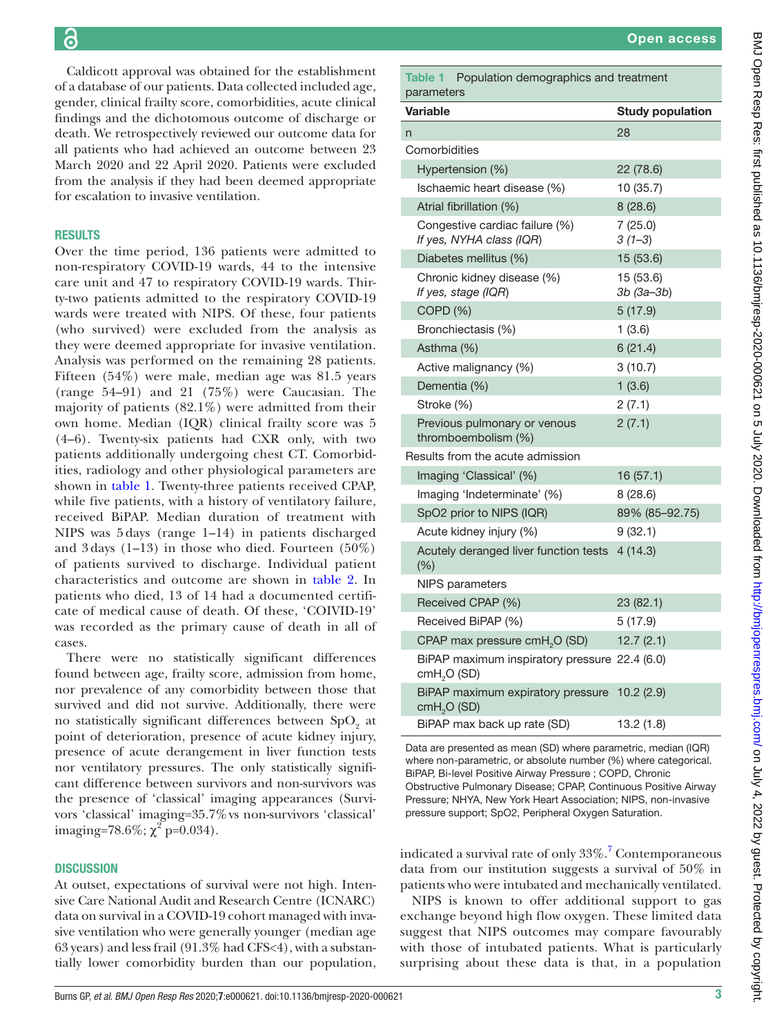Caldicott approval was obtained for the establishment of a database of our patients. Data collected included age, gender, clinical frailty score, comorbidities, acute clinical findings and the dichotomous outcome of discharge or death. We retrospectively reviewed our outcome data for all patients who had achieved an outcome between 23 March 2020 and 22 April 2020. Patients were excluded from the analysis if they had been deemed appropriate for escalation to invasive ventilation.

# **RESULTS**

Over the time period, 136 patients were admitted to non-respiratory COVID-19 wards, 44 to the intensive care unit and 47 to respiratory COVID-19 wards. Thirty-two patients admitted to the respiratory COVID-19 wards were treated with NIPS. Of these, four patients (who survived) were excluded from the analysis as they were deemed appropriate for invasive ventilation. Analysis was performed on the remaining 28 patients. Fifteen (54%) were male, median age was 81.5 years (range 54–91) and 21 (75%) were Caucasian. The majority of patients (82.1%) were admitted from their own home. Median (IQR) clinical frailty score was 5 (4–6). Twenty-six patients had CXR only, with two patients additionally undergoing chest CT. Comorbidities, radiology and other physiological parameters are shown in [table](#page-2-0) 1. Twenty-three patients received CPAP, while five patients, with a history of ventilatory failure, received BiPAP. Median duration of treatment with NIPS was 5 days (range 1–14) in patients discharged and  $3 \text{ days}$  (1–13) in those who died. Fourteen (50%) of patients survived to discharge. Individual patient characteristics and outcome are shown in [table](#page-3-0) 2. In patients who died, 13 of 14 had a documented certificate of medical cause of death. Of these, 'COIVID-19' was recorded as the primary cause of death in all of cases.

There were no statistically significant differences found between age, frailty score, admission from home, nor prevalence of any comorbidity between those that survived and did not survive. Additionally, there were no statistically significant differences between  $\text{SpO}_2$  at point of deterioration, presence of acute kidney injury, presence of acute derangement in liver function tests nor ventilatory pressures. The only statistically significant difference between survivors and non-survivors was the presence of 'classical' imaging appearances (Survivors 'classical' imaging=35.7% vs non-survivors 'classical' imaging=78.6%;  $\chi^2$  p=0.034).

# **DISCUSSION**

At outset, expectations of survival were not high. Intensive Care National Audit and Research Centre (ICNARC) data on survival in a COVID-19 cohort managed with invasive ventilation who were generally younger (median age 63 years) and less frail  $(91.3\%$  had CFS<4), with a substantially lower comorbidity burden than our population,

| parameters                                                              |                         |  |  |  |  |  |  |
|-------------------------------------------------------------------------|-------------------------|--|--|--|--|--|--|
| <b>Variable</b>                                                         | <b>Study population</b> |  |  |  |  |  |  |
| n                                                                       | 28                      |  |  |  |  |  |  |
| Comorbidities                                                           |                         |  |  |  |  |  |  |
| Hypertension (%)                                                        | 22 (78.6)               |  |  |  |  |  |  |
| Ischaemic heart disease (%)                                             | 10 (35.7)               |  |  |  |  |  |  |
| Atrial fibrillation (%)                                                 | 8(28.6)                 |  |  |  |  |  |  |
| Congestive cardiac failure (%)<br>If yes, NYHA class (IQR)              | 7(25.0)<br>$3(1-3)$     |  |  |  |  |  |  |
| Diabetes mellitus (%)                                                   | 15 (53.6)               |  |  |  |  |  |  |
| Chronic kidney disease (%)<br>If yes, stage (IQR)                       | 15 (53.6)<br>3b (3a-3b) |  |  |  |  |  |  |
| COPD <sub>(</sub> %)                                                    | 5(17.9)                 |  |  |  |  |  |  |
| Bronchiectasis (%)                                                      | 1(3.6)                  |  |  |  |  |  |  |
| Asthma (%)                                                              | 6(21.4)                 |  |  |  |  |  |  |
| Active malignancy (%)                                                   | 3(10.7)                 |  |  |  |  |  |  |
| Dementia (%)                                                            | 1(3.6)                  |  |  |  |  |  |  |
| Stroke (%)                                                              | 2(7.1)                  |  |  |  |  |  |  |
| Previous pulmonary or venous<br>thromboembolism (%)                     | 2(7.1)                  |  |  |  |  |  |  |
| Results from the acute admission                                        |                         |  |  |  |  |  |  |
| Imaging 'Classical' (%)                                                 | 16 (57.1)               |  |  |  |  |  |  |
| Imaging 'Indeterminate' (%)                                             | 8(28.6)                 |  |  |  |  |  |  |
| SpO2 prior to NIPS (IQR)                                                | 89% (85-92.75)          |  |  |  |  |  |  |
| Acute kidney injury (%)                                                 | 9(32.1)                 |  |  |  |  |  |  |
| Acutely deranged liver function tests<br>$(\%)$                         | 4(14.3)                 |  |  |  |  |  |  |
| NIPS parameters                                                         |                         |  |  |  |  |  |  |
| Received CPAP (%)                                                       | 23 (82.1)               |  |  |  |  |  |  |
| Received BiPAP (%)                                                      | 5 (17.9)                |  |  |  |  |  |  |
| CPAP max pressure cmH <sub>2</sub> O (SD)                               | 12.7(2.1)               |  |  |  |  |  |  |
| BiPAP maximum inspiratory pressure 22.4 (6.0)<br>$cmH2O$ (SD)           |                         |  |  |  |  |  |  |
| BiPAP maximum expiratory pressure 10.2 (2.9)<br>cmH <sub>2</sub> O (SD) |                         |  |  |  |  |  |  |
| BiPAP max back up rate (SD)                                             | 13.2 (1.8)              |  |  |  |  |  |  |

<span id="page-2-0"></span>Table 1 Population demographics and treatment

Data are presented as mean (SD) where parametric, median (IQR) where non-parametric, or absolute number (%) where categorical. BiPAP, Bi-level Positive Airway Pressure ; COPD, Chronic Obstructive Pulmonary Disease; CPAP, Continuous Positive Airway Pressure; NHYA, New York Heart Association; NIPS, non-invasive pressure support; SpO2, Peripheral Oxygen Saturation.

indicated a survival rate of only 33%.<sup>[7](#page-4-2)</sup> Contemporaneous data from our institution suggests a survival of 50% in patients who were intubated and mechanically ventilated.

NIPS is known to offer additional support to gas exchange beyond high flow oxygen. These limited data suggest that NIPS outcomes may compare favourably with those of intubated patients. What is particularly surprising about these data is that, in a population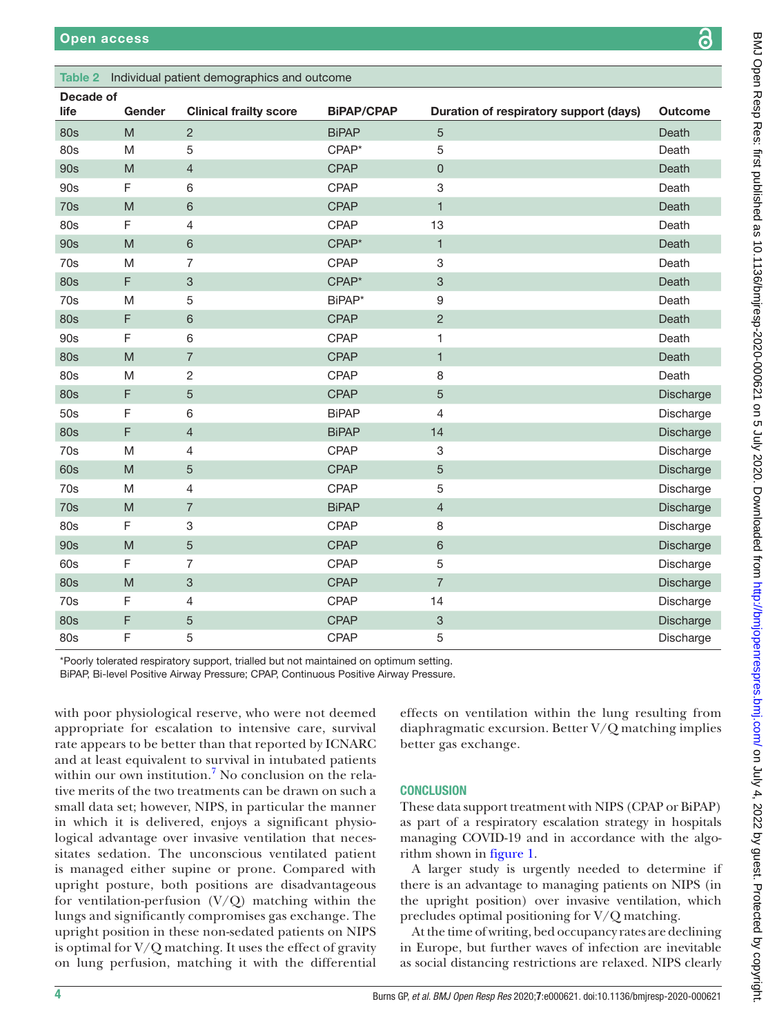# <span id="page-3-0"></span>Table 2 Individual patient demographics and outcome

| Decade of<br>life | Gender                                                                                                     | <b>Clinical frailty score</b> | <b>BiPAP/CPAP</b> | Duration of respiratory support (days) | <b>Outcome</b> |
|-------------------|------------------------------------------------------------------------------------------------------------|-------------------------------|-------------------|----------------------------------------|----------------|
| <b>80s</b>        | $\mathsf{M}% _{T}=\mathsf{M}_{T}\!\left( a,b\right) ,\ \mathsf{M}_{T}=\mathsf{M}_{T}\!\left( a,b\right) ,$ | $\overline{2}$                | <b>BiPAP</b>      | $\sqrt{5}$                             | Death          |
| 80s               | ${\sf M}$                                                                                                  | 5                             | CPAP*             | 5                                      | Death          |
| 90s               | $\mathsf{M}% _{T}=\mathsf{M}_{T}\!\left( a,b\right) ,\ \mathsf{M}_{T}=\mathsf{M}_{T}$                      | $\overline{4}$                | <b>CPAP</b>       | $\mathsf 0$                            | Death          |
| 90s               | $\mathsf F$                                                                                                | $\,6$                         | CPAP              | 3                                      | Death          |
| 70s               | M                                                                                                          | $\,6\,$                       | <b>CPAP</b>       | $\mathbf{1}$                           | Death          |
| 80s               | F                                                                                                          | $\overline{4}$                | CPAP              | 13                                     | Death          |
| <b>90s</b>        | M                                                                                                          | $\,6\,$                       | CPAP*             | $\mathbf{1}$                           | Death          |
| 70s               | M                                                                                                          | $\overline{7}$                | CPAP              | 3                                      | Death          |
| <b>80s</b>        | $\mathsf F$                                                                                                | $\ensuremath{\mathsf{3}}$     | CPAP*             | $\ensuremath{\mathsf{3}}$              | Death          |
| 70s               | M                                                                                                          | 5                             | BiPAP*            | 9                                      | Death          |
| <b>80s</b>        | F                                                                                                          | $\,6\,$                       | <b>CPAP</b>       | $\sqrt{2}$                             | Death          |
| 90s               | F                                                                                                          | $\,6\,$                       | CPAP              | 1                                      | Death          |
| <b>80s</b>        | M                                                                                                          | $\overline{7}$                | <b>CPAP</b>       | $\mathbf{1}$                           | Death          |
| 80s               | M                                                                                                          | $\sqrt{2}$                    | <b>CPAP</b>       | 8                                      | Death          |
| <b>80s</b>        | F                                                                                                          | $\sqrt{5}$                    | <b>CPAP</b>       | 5                                      | Discharge      |
| 50s               | $\mathsf F$                                                                                                | $\,6\,$                       | <b>BiPAP</b>      | $\overline{4}$                         | Discharge      |
| <b>80s</b>        | $\mathsf F$                                                                                                | $\overline{4}$                | <b>BiPAP</b>      | 14                                     | Discharge      |
| 70s               | M                                                                                                          | $\overline{4}$                | CPAP              | $\,3$                                  | Discharge      |
| 60s               | ${\sf M}$                                                                                                  | 5                             | <b>CPAP</b>       | 5                                      | Discharge      |
| 70s               | M                                                                                                          | 4                             | CPAP              | 5                                      | Discharge      |
| 70s               | $\mathsf{M}% _{T}=\mathsf{M}_{T}\!\left( a,b\right) ,\ \mathsf{M}_{T}=\mathsf{M}_{T}\!\left( a,b\right) ,$ | $\overline{7}$                | <b>BiPAP</b>      | $\overline{4}$                         | Discharge      |
| 80s               | F                                                                                                          | $\ensuremath{\mathsf{3}}$     | CPAP              | 8                                      | Discharge      |
| 90s               | M                                                                                                          | $\overline{5}$                | <b>CPAP</b>       | $6\,$                                  | Discharge      |
| 60s               | F                                                                                                          | 7                             | CPAP              | $\overline{5}$                         | Discharge      |
| <b>80s</b>        | M                                                                                                          | $\ensuremath{\mathsf{3}}$     | <b>CPAP</b>       | $\overline{7}$                         | Discharge      |
| 70s               | F                                                                                                          | $\overline{4}$                | CPAP              | 14                                     | Discharge      |
| <b>80s</b>        | $\mathsf F$                                                                                                | $\sqrt{5}$                    | <b>CPAP</b>       | $\sqrt{3}$                             | Discharge      |
| 80s               | F                                                                                                          | 5                             | CPAP              | 5                                      | Discharge      |

\*Poorly tolerated respiratory support, trialled but not maintained on optimum setting.

BiPAP, Bi-level Positive Airway Pressure; CPAP, Continuous Positive Airway Pressure.

with poor physiological reserve, who were not deemed appropriate for escalation to intensive care, survival rate appears to be better than that reported by ICNARC and at least equivalent to survival in intubated patients within our own institution.<sup>[7](#page-4-2)</sup> No conclusion on the relative merits of the two treatments can be drawn on such a small data set; however, NIPS, in particular the manner in which it is delivered, enjoys a significant physiological advantage over invasive ventilation that necessitates sedation. The unconscious ventilated patient is managed either supine or prone. Compared with upright posture, both positions are disadvantageous for ventilation-perfusion  $(V/Q)$  matching within the lungs and significantly compromises gas exchange. The upright position in these non-sedated patients on NIPS is optimal for  $V/Q$  matching. It uses the effect of gravity on lung perfusion, matching it with the differential

effects on ventilation within the lung resulting from diaphragmatic excursion. Better V/Q matching implies better gas exchange.

# **CONCLUSION**

These data support treatment with NIPS (CPAP or BiPAP) as part of a respiratory escalation strategy in hospitals managing COVID-19 and in accordance with the algorithm shown in [figure](#page-1-0) 1.

A larger study is urgently needed to determine if there is an advantage to managing patients on NIPS (in the upright position) over invasive ventilation, which precludes optimal positioning for V/Q matching.

At the time of writing, bed occupancy rates are declining in Europe, but further waves of infection are inevitable as social distancing restrictions are relaxed. NIPS clearly